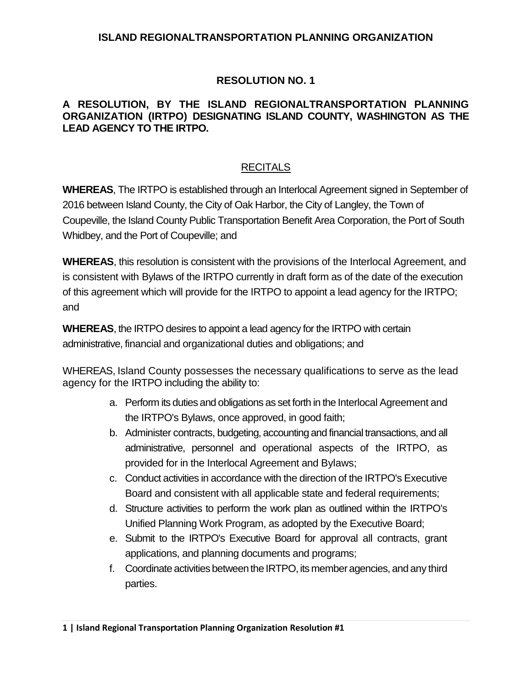### **ISLAND REGIONALTRANSPORTATION PLANNING ORGANIZATION**

# **RESOLUTION NO. 1**

### **A RESOLUTION, BY THE ISLAND REGIONALTRANSPORTATION PLANNING ORGANIZATION (IRTPO) DESIGNATING ISLAND COUNTY, WASHINGTON AS THE LEAD AGENCY TO THE IRTPO.**

# RECITALS

**WHEREAS**, The IRTPO is established through an Interlocal Agreement signed in September of 2016 between Island County, the City of Oak Harbor, the City of Langley, the Town of Coupeville, the Island County Public Transportation Benefit Area Corporation, the Port of South Whidbey, and the Port of Coupeville; and

**WHEREAS**, this resolution is consistent with the provisions of the Interlocal Agreement, and is consistent with Bylaws of the IRTPO currently in draft form as of the date of the execution of this agreement which will provide for the IRTPO to appoint a lead agency for the IRTPO; and

**WHEREAS**, the IRTPO desires to appoint a lead agency for the IRTPO with certain administrative, financial and organizational duties and obligations; and

WHEREAS, Island County possesses the necessary qualifications to serve as the lead agency for the IRTPO including the ability to:

- a. Perform its duties and obligations as set forth in the Interlocal Agreement and the IRTPO's Bylaws, once approved, in good faith;
- b. Administer contracts, budgeting, accounting and financial transactions, and all administrative, personnel and operational aspects of the IRTPO, as provided for in the Interlocal Agreement and Bylaws;
- c. Conduct activities in accordance with the direction of the IRTPO's Executive Board and consistent with all applicable state and federal requirements;
- d. Structure activities to perform the work plan as outlined within the IRTPO's Unified Planning Work Program, as adopted by the Executive Board;
- e. Submit to the IRTPO's Executive Board for approval all contracts, grant applications, and planning documents and programs;
- f. Coordinate activities between the IRTPO, its member agencies, and any third parties.